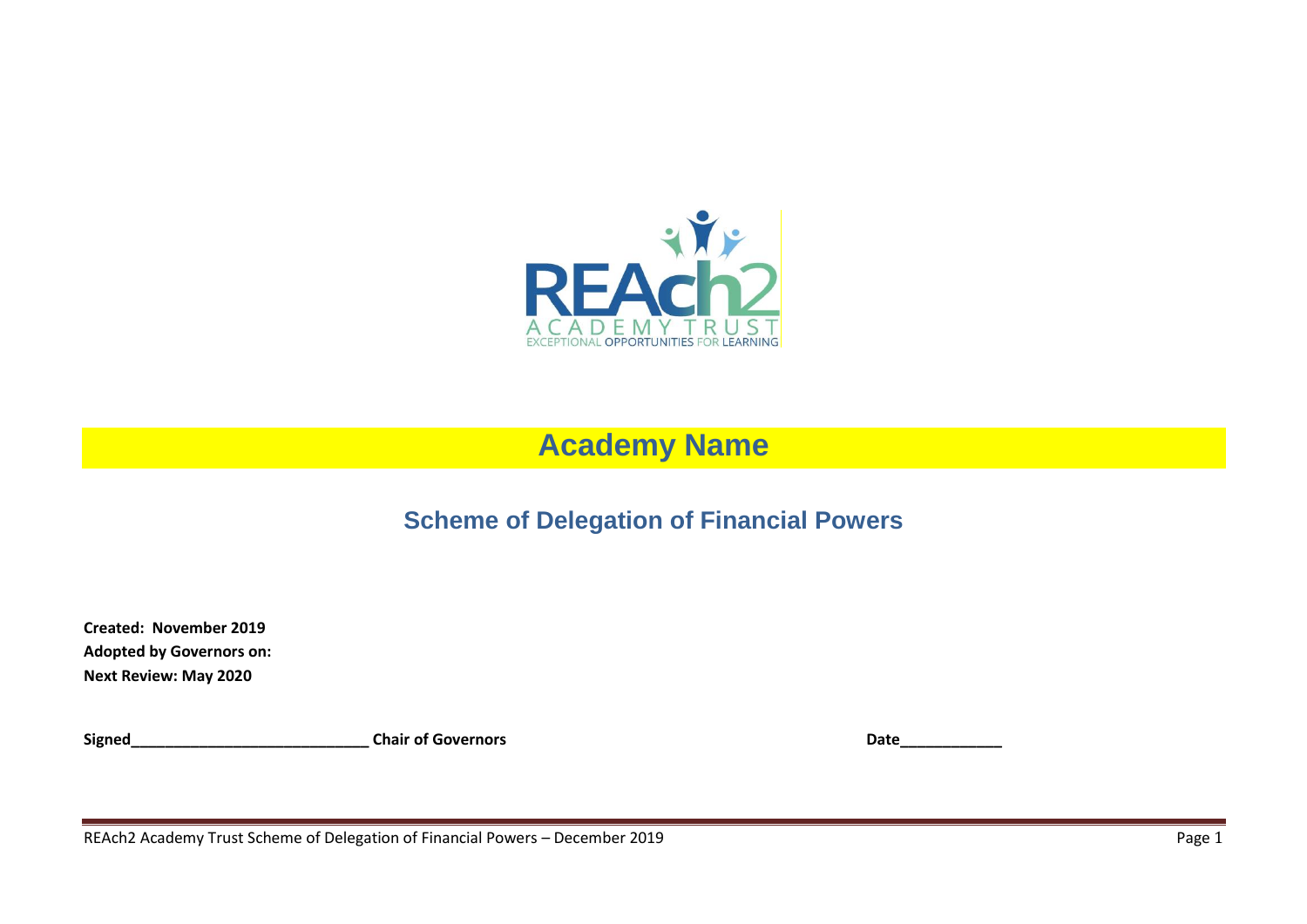

# **Academy Name**

## **Scheme of Delegation of Financial Powers**

**Created: November 2019 Adopted by Governors on: Next Review: May 2020**

Signed\_\_\_\_\_\_\_\_\_\_\_\_\_\_\_\_\_\_\_\_\_\_\_\_\_\_\_\_\_\_\_\_\_Chair of Governors **Date\_\_\_\_\_\_\_\_\_\_\_\_\_\_\_\_\_** 

REAch2 Academy Trust Scheme of Delegation of Financial Powers – December 2019 **Page 1** Page 1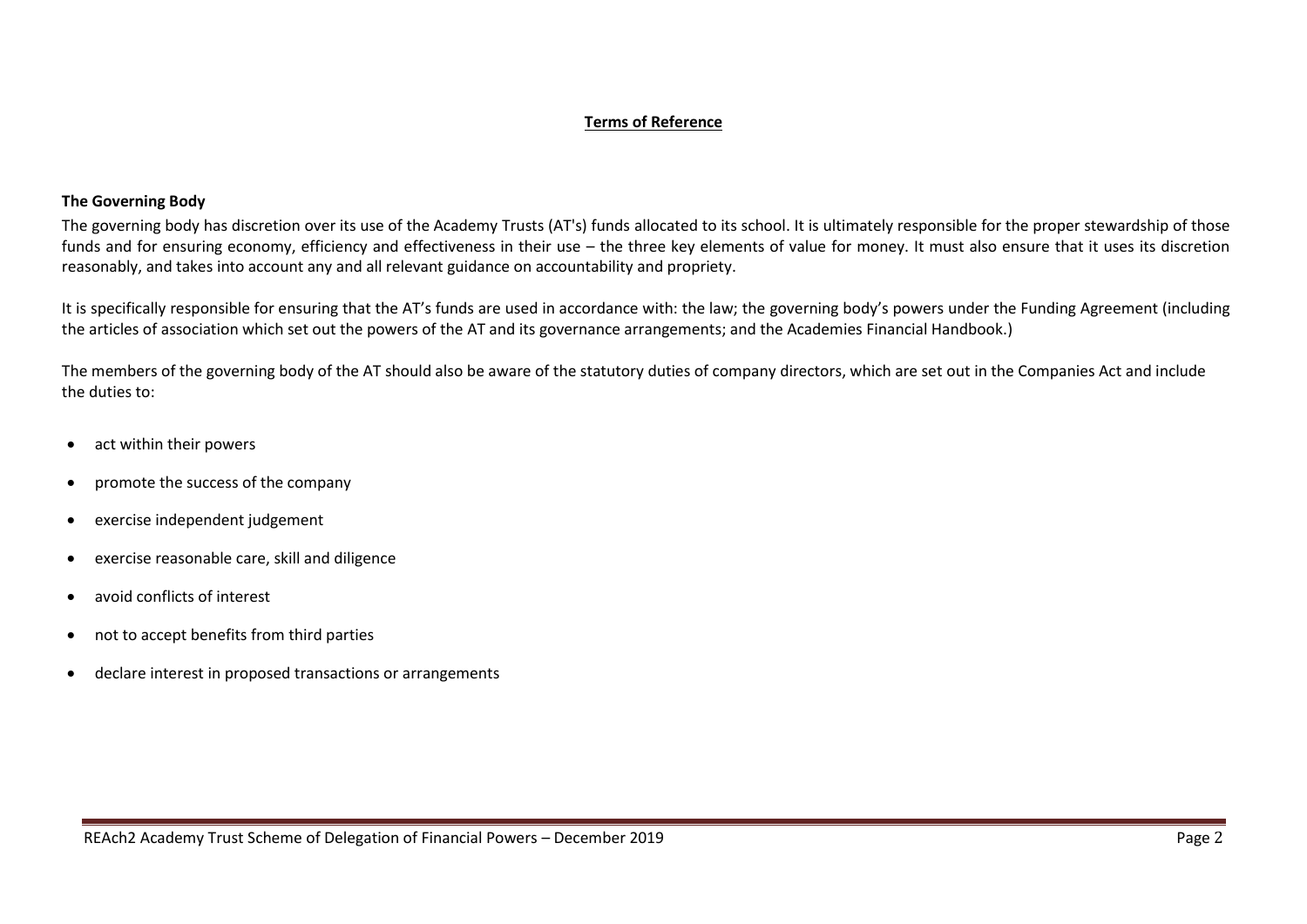#### **Terms of Reference**

#### **The Governing Body**

The governing body has discretion over its use of the Academy Trusts (AT's) funds allocated to its school. It is ultimately responsible for the proper stewardship of those funds and for ensuring economy, efficiency and effectiveness in their use – the three key elements of value for money. It must also ensure that it uses its discretion reasonably, and takes into account any and all relevant guidance on accountability and propriety.

It is specifically responsible for ensuring that the AT's funds are used in accordance with: the law; the governing body's powers under the Funding Agreement (including the articles of association which set out the powers of the AT and its governance arrangements; and the Academies Financial Handbook.)

The members of the governing body of the AT should also be aware of the statutory duties of company directors, which are set out in the Companies Act and include the duties to:

- act within their powers
- promote the success of the company
- exercise independent judgement
- exercise reasonable care, skill and diligence
- avoid conflicts of interest
- not to accept benefits from third parties
- declare interest in proposed transactions or arrangements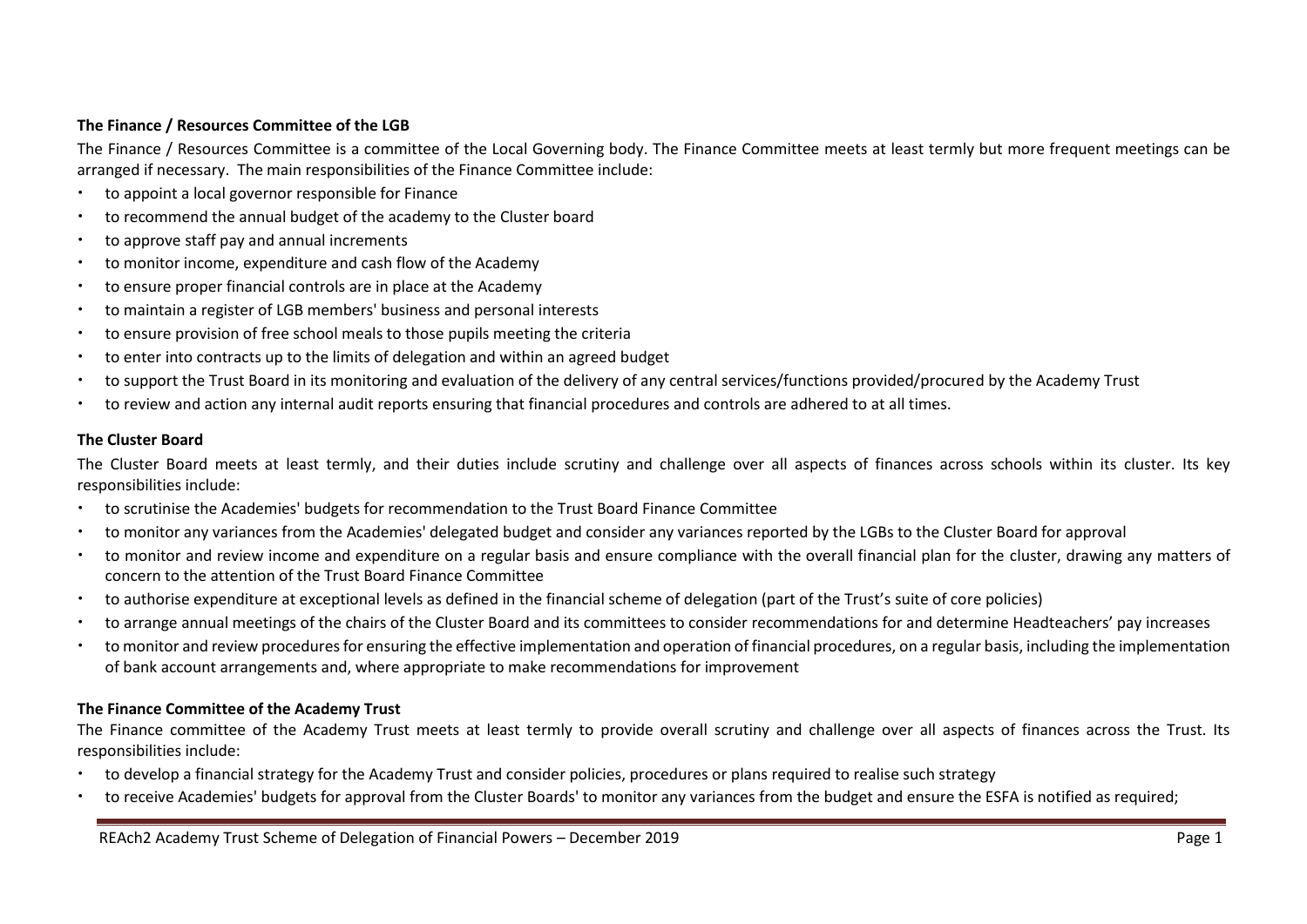#### **The Finance / Resources Committee of the LGB**

The Finance / Resources Committee is a committee of the Local Governing body. The Finance Committee meets at least termly but more frequent meetings can be arranged if necessary. The main responsibilities of the Finance Committee include:

- to appoint a local governor responsible for Finance
- to recommend the annual budget of the academy to the Cluster board
- to approve staff pay and annual increments
- to monitor income, expenditure and cash flow of the Academy
- to ensure proper financial controls are in place at the Academy
- to maintain a register of LGB members' business and personal interests
- to ensure provision of free school meals to those pupils meeting the criteria
- to enter into contracts up to the limits of delegation and within an agreed budget
- to support the Trust Board in its monitoring and evaluation of the delivery of any central services/functions provided/procured by the Academy Trust
- to review and action any internal audit reports ensuring that financial procedures and controls are adhered to at all times.

#### **The Cluster Board**

The Cluster Board meets at least termly, and their duties include scrutiny and challenge over all aspects of finances across schools within its cluster. Its key responsibilities include:

- to scrutinise the Academies' budgets for recommendation to the Trust Board Finance Committee
- to monitor any variances from the Academies' delegated budget and consider any variances reported by the LGBs to the Cluster Board for approval
- to monitor and review income and expenditure on a regular basis and ensure compliance with the overall financial plan for the cluster, drawing any matters of concern to the attention of the Trust Board Finance Committee
- to authorise expenditure at exceptional levels as defined in the financial scheme of delegation (part of the Trust's suite of core policies)
- to arrange annual meetings of the chairs of the Cluster Board and its committees to consider recommendations for and determine Headteachers' pay increases
- to monitor and review procedures for ensuring the effective implementation and operation of financial procedures, on a regular basis, including the implementation of bank account arrangements and, where appropriate to make recommendations for improvement

#### **The Finance Committee of the Academy Trust**

The Finance committee of the Academy Trust meets at least termly to provide overall scrutiny and challenge over all aspects of finances across the Trust. Its responsibilities include:

- to develop a financial strategy for the Academy Trust and consider policies, procedures or plans required to realise such strategy
- to receive Academies' budgets for approval from the Cluster Boards' to monitor any variances from the budget and ensure the ESFA is notified as required;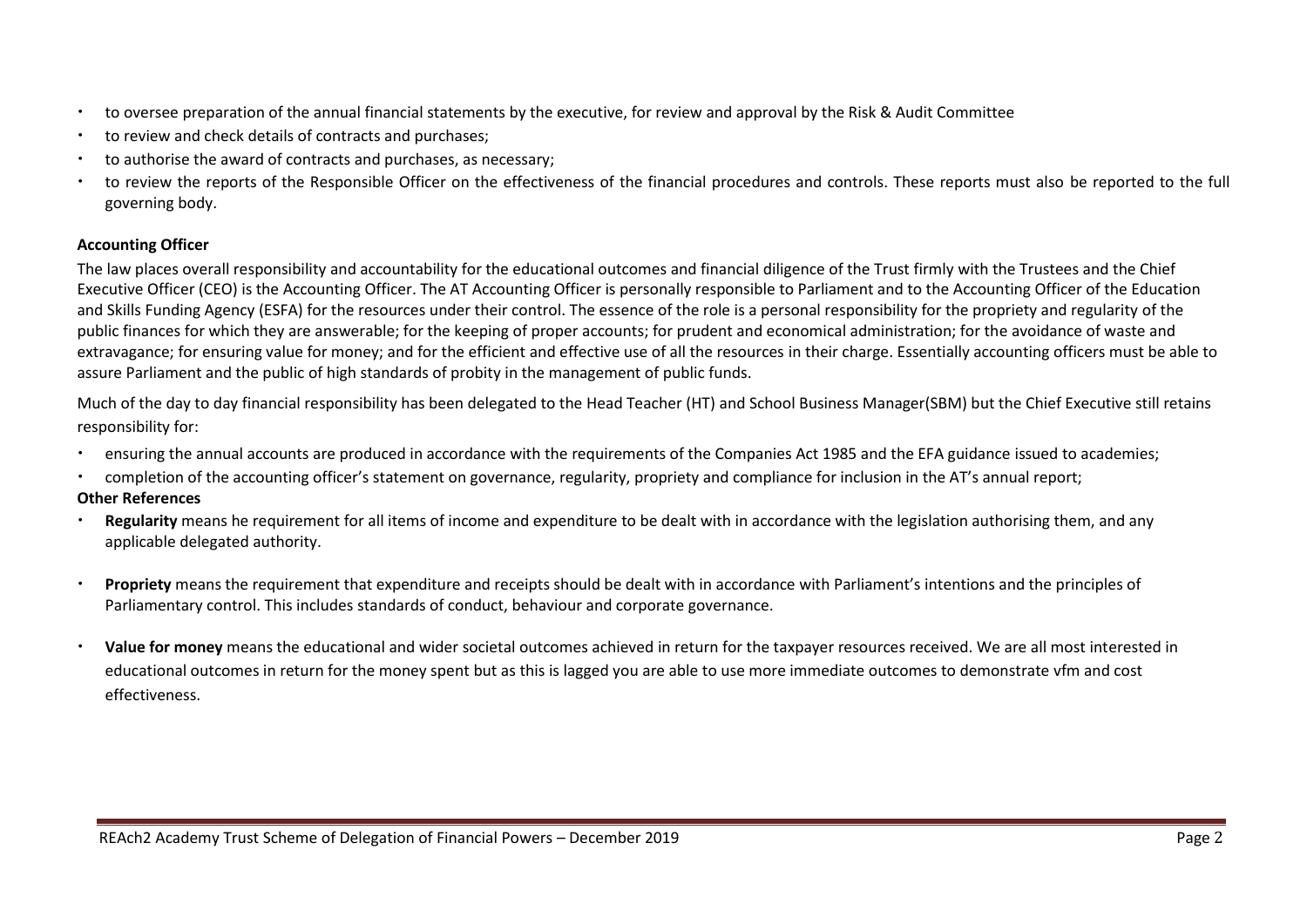- to oversee preparation of the annual financial statements by the executive, for review and approval by the Risk & Audit Committee
- to review and check details of contracts and purchases;
- to authorise the award of contracts and purchases, as necessary;
- to review the reports of the Responsible Officer on the effectiveness of the financial procedures and controls. These reports must also be reported to the full governing body.

#### **Accounting Officer**

The law places overall responsibility and accountability for the educational outcomes and financial diligence of the Trust firmly with the Trustees and the Chief Executive Officer (CEO) is the Accounting Officer. The AT Accounting Officer is personally responsible to Parliament and to the Accounting Officer of the Education and Skills Funding Agency (ESFA) for the resources under their control. The essence of the role is a personal responsibility for the propriety and regularity of the public finances for which they are answerable; for the keeping of proper accounts; for prudent and economical administration; for the avoidance of waste and extravagance; for ensuring value for money; and for the efficient and effective use of all the resources in their charge. Essentially accounting officers must be able to assure Parliament and the public of high standards of probity in the management of public funds.

Much of the day to day financial responsibility has been delegated to the Head Teacher (HT) and School Business Manager(SBM) but the Chief Executive still retains responsibility for:

- ensuring the annual accounts are produced in accordance with the requirements of the Companies Act 1985 and the EFA guidance issued to academies;
- completion of the accounting officer's statement on governance, regularity, propriety and compliance for inclusion in the AT's annual report;

#### **Other References**

- **Regularity** means he requirement for all items of income and expenditure to be dealt with in accordance with the legislation authorising them, and any applicable delegated authority.
- **Propriety** means the requirement that expenditure and receipts should be dealt with in accordance with Parliament's intentions and the principles of Parliamentary control. This includes standards of conduct, behaviour and corporate governance.
- **Value for money** means the educational and wider societal outcomes achieved in return for the taxpayer resources received. We are all most interested in educational outcomes in return for the money spent but as this is lagged you are able to use more immediate outcomes to demonstrate vfm and cost effectiveness.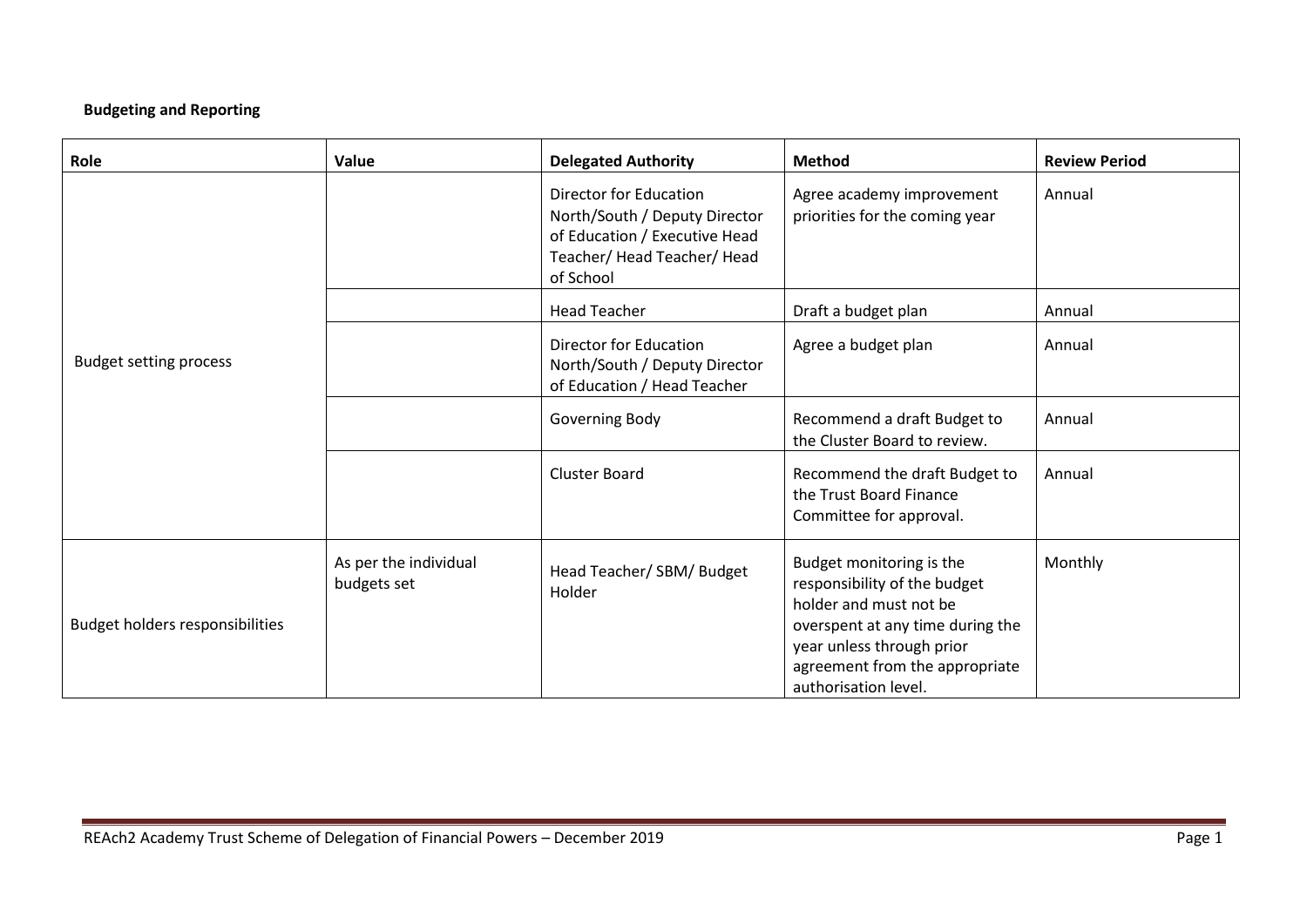## **Budgeting and Reporting**

| Role                            | Value                                | <b>Delegated Authority</b>                                                                                                           | <b>Method</b>                                                                                                                                                                                                 | <b>Review Period</b> |
|---------------------------------|--------------------------------------|--------------------------------------------------------------------------------------------------------------------------------------|---------------------------------------------------------------------------------------------------------------------------------------------------------------------------------------------------------------|----------------------|
|                                 |                                      | Director for Education<br>North/South / Deputy Director<br>of Education / Executive Head<br>Teacher/ Head Teacher/ Head<br>of School | Agree academy improvement<br>priorities for the coming year                                                                                                                                                   | Annual               |
|                                 |                                      | <b>Head Teacher</b>                                                                                                                  | Draft a budget plan                                                                                                                                                                                           | Annual               |
| <b>Budget setting process</b>   |                                      | <b>Director for Education</b><br>North/South / Deputy Director<br>of Education / Head Teacher                                        | Agree a budget plan                                                                                                                                                                                           | Annual               |
|                                 |                                      | Governing Body                                                                                                                       | Recommend a draft Budget to<br>the Cluster Board to review.                                                                                                                                                   | Annual               |
|                                 |                                      | <b>Cluster Board</b>                                                                                                                 | Recommend the draft Budget to<br>the Trust Board Finance<br>Committee for approval.                                                                                                                           | Annual               |
| Budget holders responsibilities | As per the individual<br>budgets set | Head Teacher/ SBM/ Budget<br>Holder                                                                                                  | Budget monitoring is the<br>responsibility of the budget<br>holder and must not be<br>overspent at any time during the<br>year unless through prior<br>agreement from the appropriate<br>authorisation level. | Monthly              |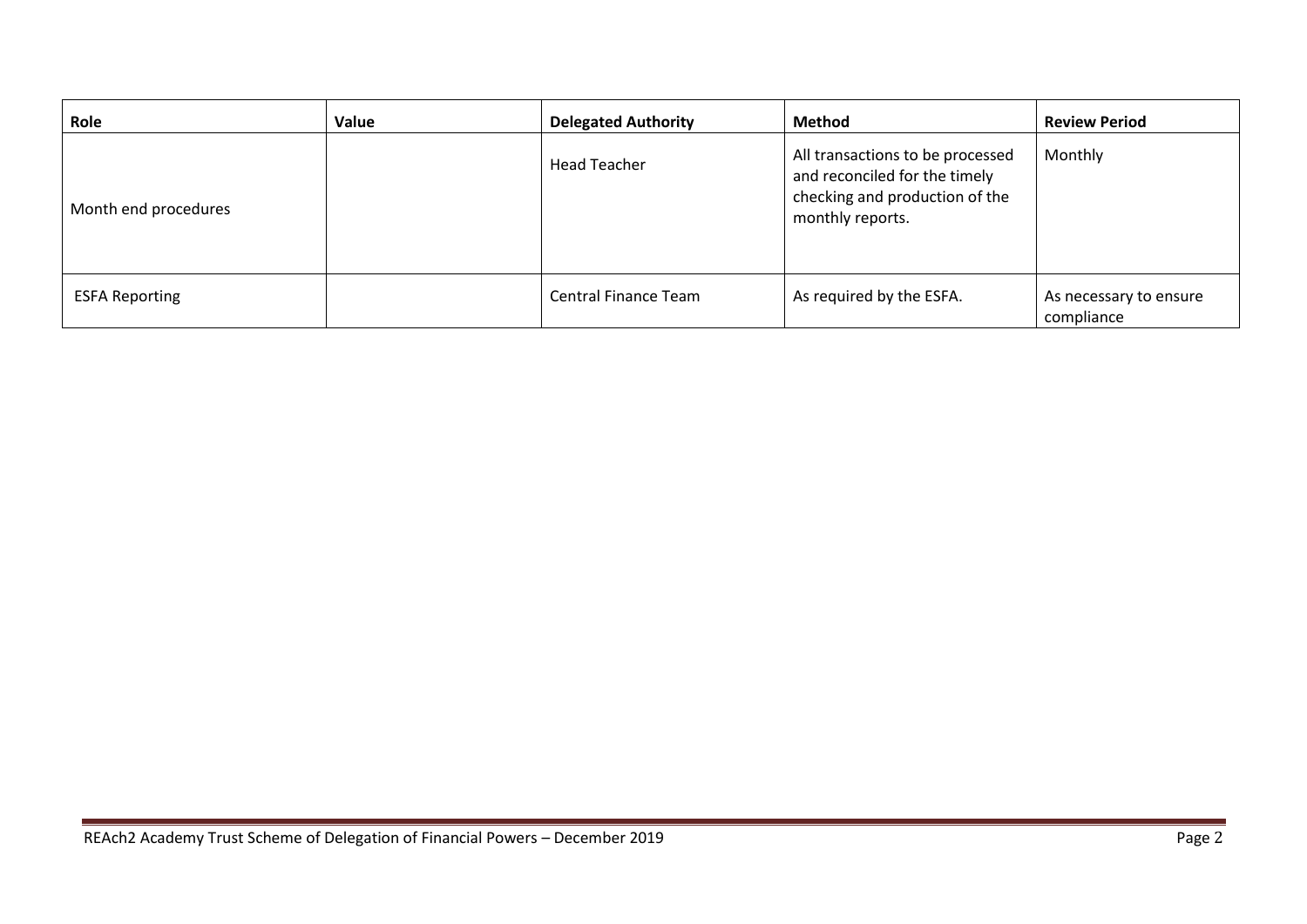| Role                  | Value | <b>Delegated Authority</b>  | <b>Method</b>                                                                                                           | <b>Review Period</b>                 |
|-----------------------|-------|-----------------------------|-------------------------------------------------------------------------------------------------------------------------|--------------------------------------|
| Month end procedures  |       | <b>Head Teacher</b>         | All transactions to be processed<br>and reconciled for the timely<br>checking and production of the<br>monthly reports. | Monthly                              |
| <b>ESFA Reporting</b> |       | <b>Central Finance Team</b> | As required by the ESFA.                                                                                                | As necessary to ensure<br>compliance |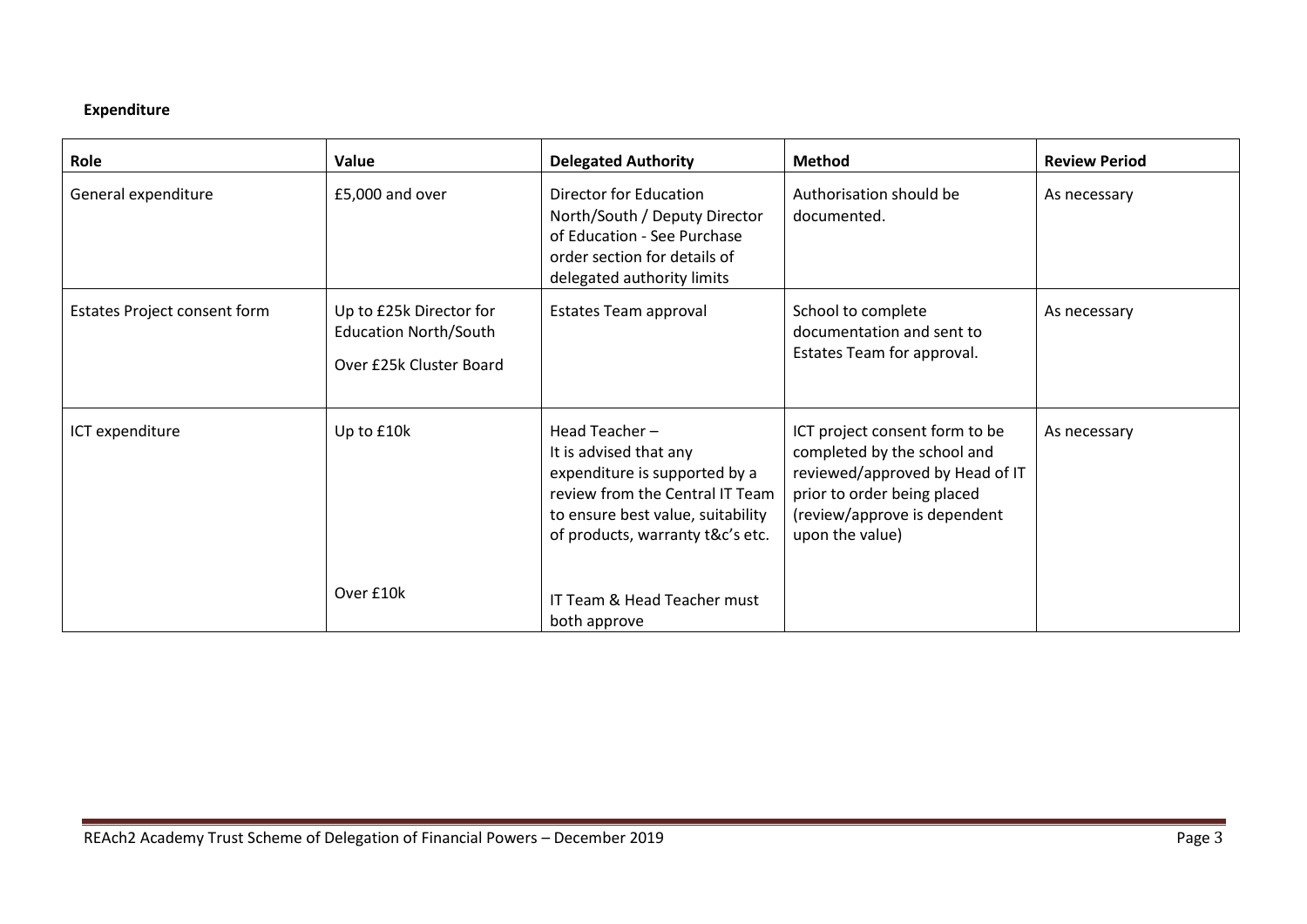## **Expenditure**

| Role                         | Value                                                                              | <b>Delegated Authority</b>                                                                                                                                                           | <b>Method</b>                                                                                                                                                                      | <b>Review Period</b> |
|------------------------------|------------------------------------------------------------------------------------|--------------------------------------------------------------------------------------------------------------------------------------------------------------------------------------|------------------------------------------------------------------------------------------------------------------------------------------------------------------------------------|----------------------|
| General expenditure          | £5,000 and over                                                                    | <b>Director for Education</b><br>North/South / Deputy Director<br>of Education - See Purchase<br>order section for details of<br>delegated authority limits                          | Authorisation should be<br>documented.                                                                                                                                             | As necessary         |
| Estates Project consent form | Up to £25k Director for<br><b>Education North/South</b><br>Over £25k Cluster Board | Estates Team approval                                                                                                                                                                | School to complete<br>documentation and sent to<br>Estates Team for approval.                                                                                                      | As necessary         |
| ICT expenditure              | Up to £10k                                                                         | Head Teacher-<br>It is advised that any<br>expenditure is supported by a<br>review from the Central IT Team<br>to ensure best value, suitability<br>of products, warranty t&c's etc. | ICT project consent form to be<br>completed by the school and<br>reviewed/approved by Head of IT<br>prior to order being placed<br>(review/approve is dependent<br>upon the value) | As necessary         |
|                              | Over £10k                                                                          | IT Team & Head Teacher must<br>both approve                                                                                                                                          |                                                                                                                                                                                    |                      |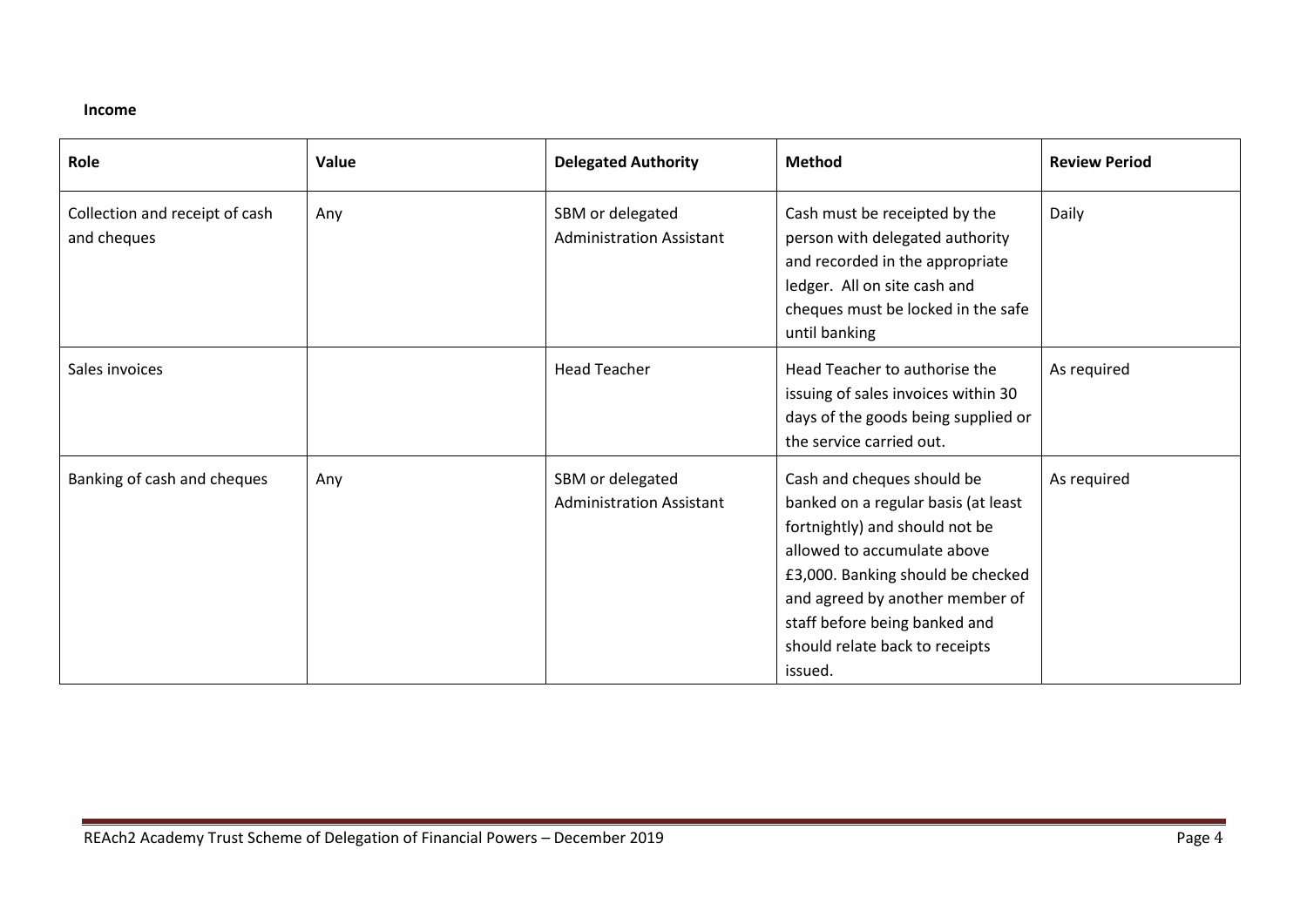#### **Income**

| Role                                          | Value | <b>Delegated Authority</b>                          | <b>Method</b>                                                                                                                                                                                                                                                                            | <b>Review Period</b> |
|-----------------------------------------------|-------|-----------------------------------------------------|------------------------------------------------------------------------------------------------------------------------------------------------------------------------------------------------------------------------------------------------------------------------------------------|----------------------|
| Collection and receipt of cash<br>and cheques | Any   | SBM or delegated<br><b>Administration Assistant</b> | Cash must be receipted by the<br>person with delegated authority<br>and recorded in the appropriate<br>ledger. All on site cash and<br>cheques must be locked in the safe<br>until banking                                                                                               | Daily                |
| Sales invoices                                |       | <b>Head Teacher</b>                                 | Head Teacher to authorise the<br>issuing of sales invoices within 30<br>days of the goods being supplied or<br>the service carried out.                                                                                                                                                  | As required          |
| Banking of cash and cheques                   | Any   | SBM or delegated<br><b>Administration Assistant</b> | Cash and cheques should be<br>banked on a regular basis (at least<br>fortnightly) and should not be<br>allowed to accumulate above<br>£3,000. Banking should be checked<br>and agreed by another member of<br>staff before being banked and<br>should relate back to receipts<br>issued. | As required          |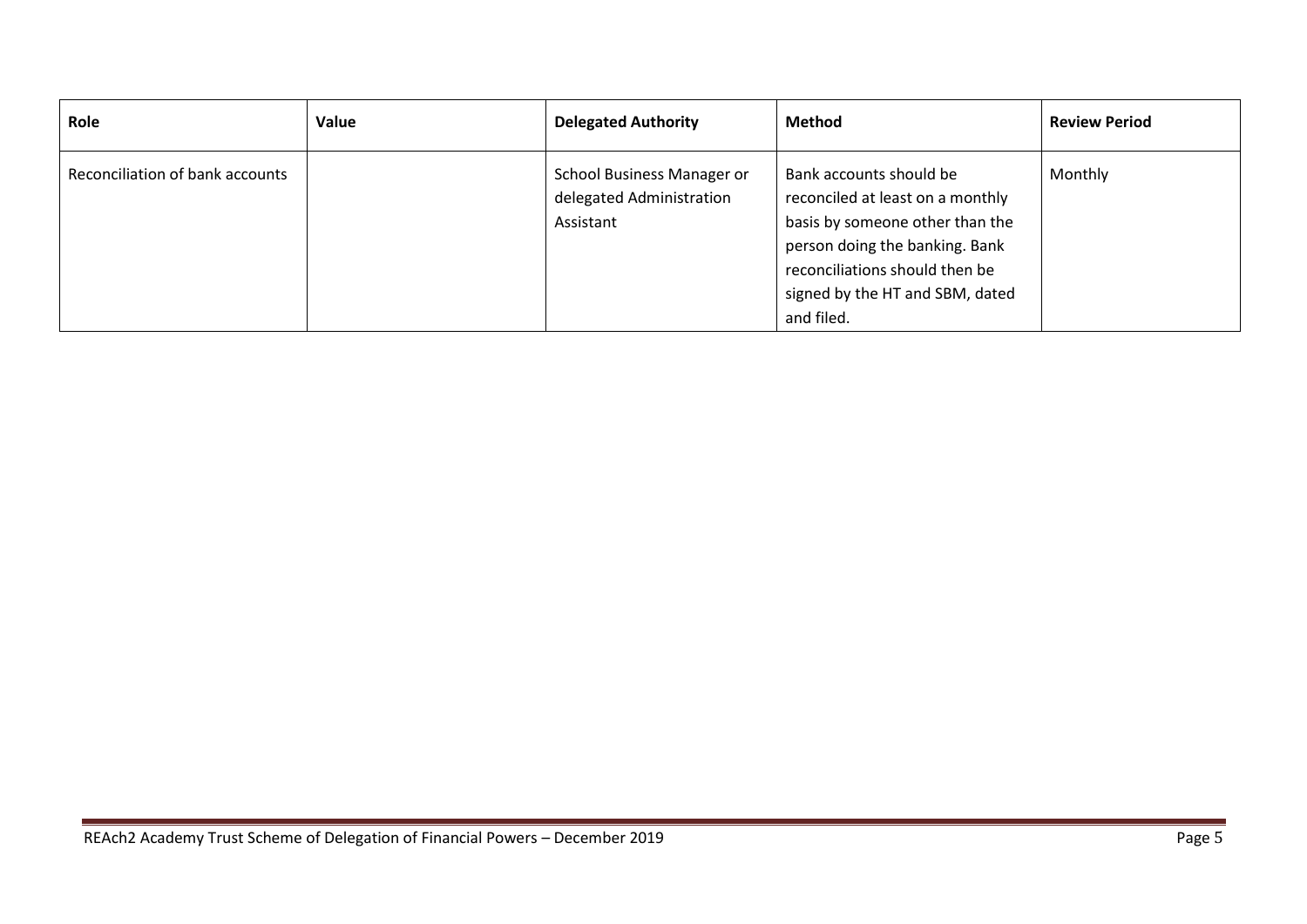| Role                            | Value | <b>Delegated Authority</b>                                          | Method                                                                                                                                                                                                              | <b>Review Period</b> |
|---------------------------------|-------|---------------------------------------------------------------------|---------------------------------------------------------------------------------------------------------------------------------------------------------------------------------------------------------------------|----------------------|
| Reconciliation of bank accounts |       | School Business Manager or<br>delegated Administration<br>Assistant | Bank accounts should be<br>reconciled at least on a monthly<br>basis by someone other than the<br>person doing the banking. Bank<br>reconciliations should then be<br>signed by the HT and SBM, dated<br>and filed. | Monthly              |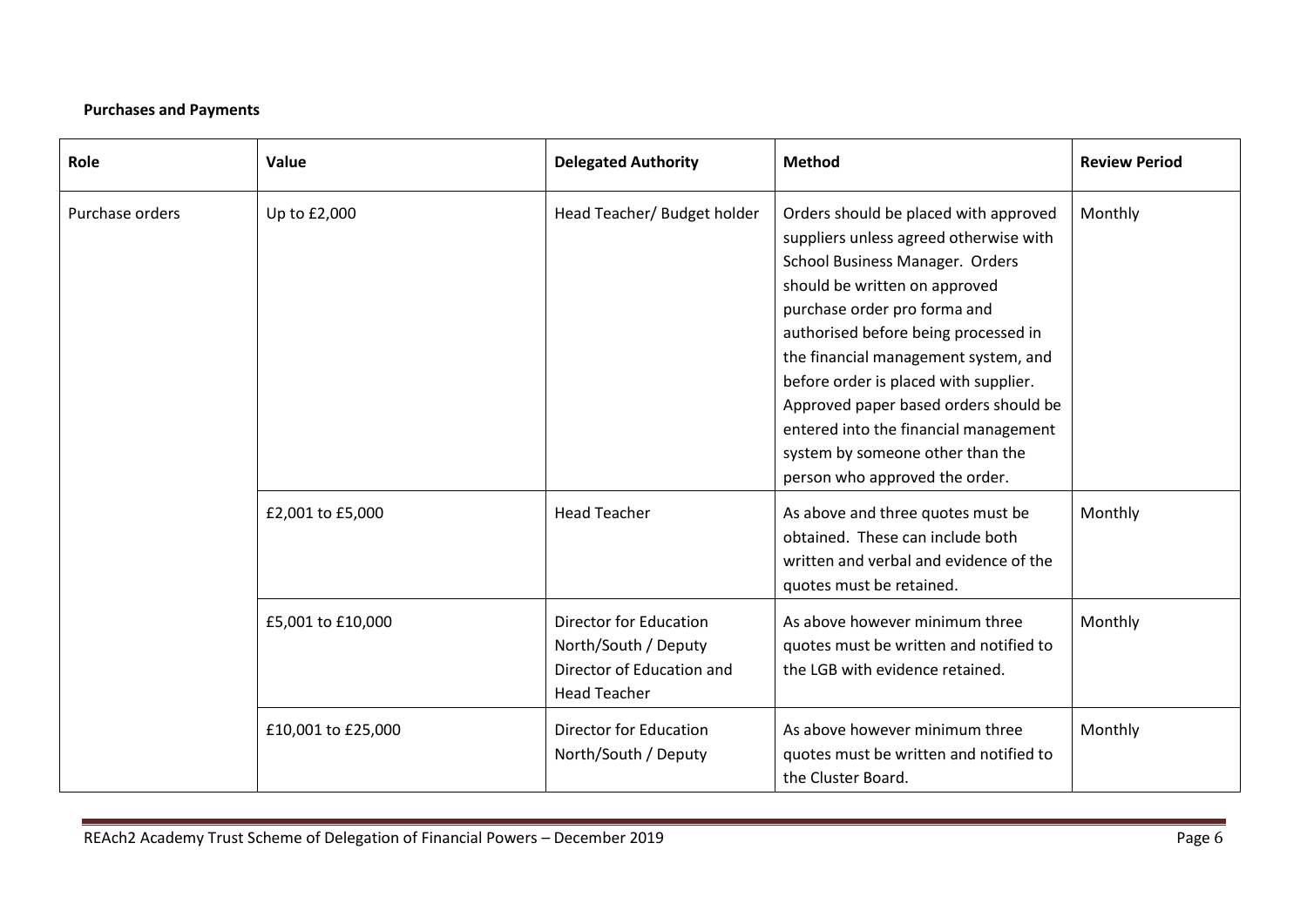## **Purchases and Payments**

| Role            | Value              | <b>Delegated Authority</b>                                                                                | <b>Method</b>                                                                                                                                                                                                                                                                                                                                                                                                                                                        | <b>Review Period</b> |
|-----------------|--------------------|-----------------------------------------------------------------------------------------------------------|----------------------------------------------------------------------------------------------------------------------------------------------------------------------------------------------------------------------------------------------------------------------------------------------------------------------------------------------------------------------------------------------------------------------------------------------------------------------|----------------------|
| Purchase orders | Up to £2,000       | Head Teacher/ Budget holder                                                                               | Orders should be placed with approved<br>suppliers unless agreed otherwise with<br>School Business Manager. Orders<br>should be written on approved<br>purchase order pro forma and<br>authorised before being processed in<br>the financial management system, and<br>before order is placed with supplier.<br>Approved paper based orders should be<br>entered into the financial management<br>system by someone other than the<br>person who approved the order. | Monthly              |
|                 | £2,001 to £5,000   | <b>Head Teacher</b>                                                                                       | As above and three quotes must be<br>obtained. These can include both<br>written and verbal and evidence of the<br>quotes must be retained.                                                                                                                                                                                                                                                                                                                          | Monthly              |
|                 | £5,001 to £10,000  | <b>Director for Education</b><br>North/South / Deputy<br>Director of Education and<br><b>Head Teacher</b> | As above however minimum three<br>quotes must be written and notified to<br>the LGB with evidence retained.                                                                                                                                                                                                                                                                                                                                                          | Monthly              |
|                 | £10,001 to £25,000 | <b>Director for Education</b><br>North/South / Deputy                                                     | As above however minimum three<br>quotes must be written and notified to<br>the Cluster Board.                                                                                                                                                                                                                                                                                                                                                                       | Monthly              |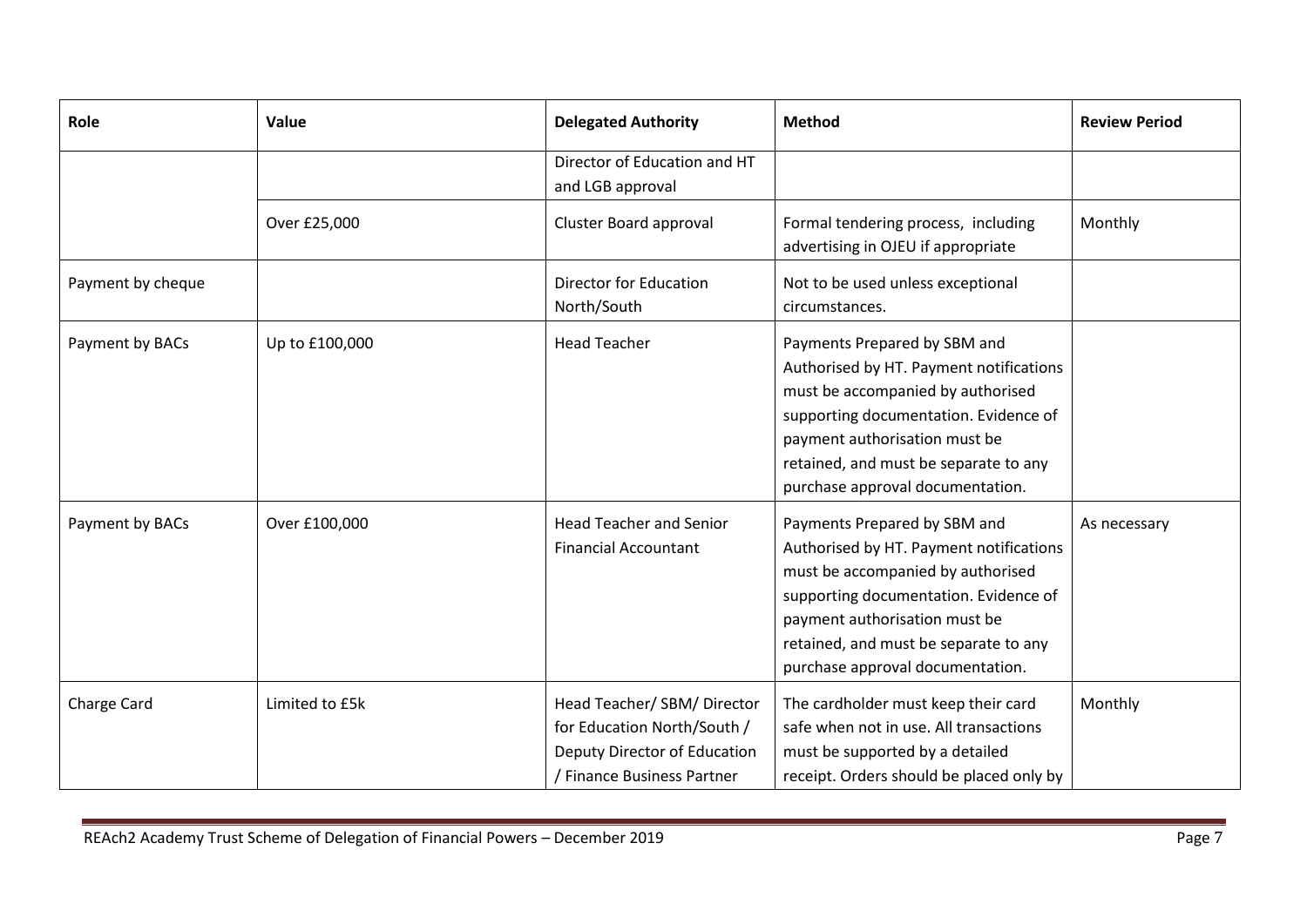| Role              | Value          | <b>Delegated Authority</b>                                                                                               | <b>Method</b>                                                                                                                                                                                                                                                       | <b>Review Period</b> |
|-------------------|----------------|--------------------------------------------------------------------------------------------------------------------------|---------------------------------------------------------------------------------------------------------------------------------------------------------------------------------------------------------------------------------------------------------------------|----------------------|
|                   |                | Director of Education and HT<br>and LGB approval                                                                         |                                                                                                                                                                                                                                                                     |                      |
|                   | Over £25,000   | Cluster Board approval                                                                                                   | Formal tendering process, including<br>advertising in OJEU if appropriate                                                                                                                                                                                           | Monthly              |
| Payment by cheque |                | <b>Director for Education</b><br>North/South                                                                             | Not to be used unless exceptional<br>circumstances.                                                                                                                                                                                                                 |                      |
| Payment by BACs   | Up to £100,000 | <b>Head Teacher</b>                                                                                                      | Payments Prepared by SBM and<br>Authorised by HT. Payment notifications<br>must be accompanied by authorised<br>supporting documentation. Evidence of<br>payment authorisation must be<br>retained, and must be separate to any<br>purchase approval documentation. |                      |
| Payment by BACs   | Over £100,000  | <b>Head Teacher and Senior</b><br><b>Financial Accountant</b>                                                            | Payments Prepared by SBM and<br>Authorised by HT. Payment notifications<br>must be accompanied by authorised<br>supporting documentation. Evidence of<br>payment authorisation must be<br>retained, and must be separate to any<br>purchase approval documentation. | As necessary         |
| Charge Card       | Limited to £5k | Head Teacher/ SBM/ Director<br>for Education North/South /<br>Deputy Director of Education<br>/ Finance Business Partner | The cardholder must keep their card<br>safe when not in use. All transactions<br>must be supported by a detailed<br>receipt. Orders should be placed only by                                                                                                        | Monthly              |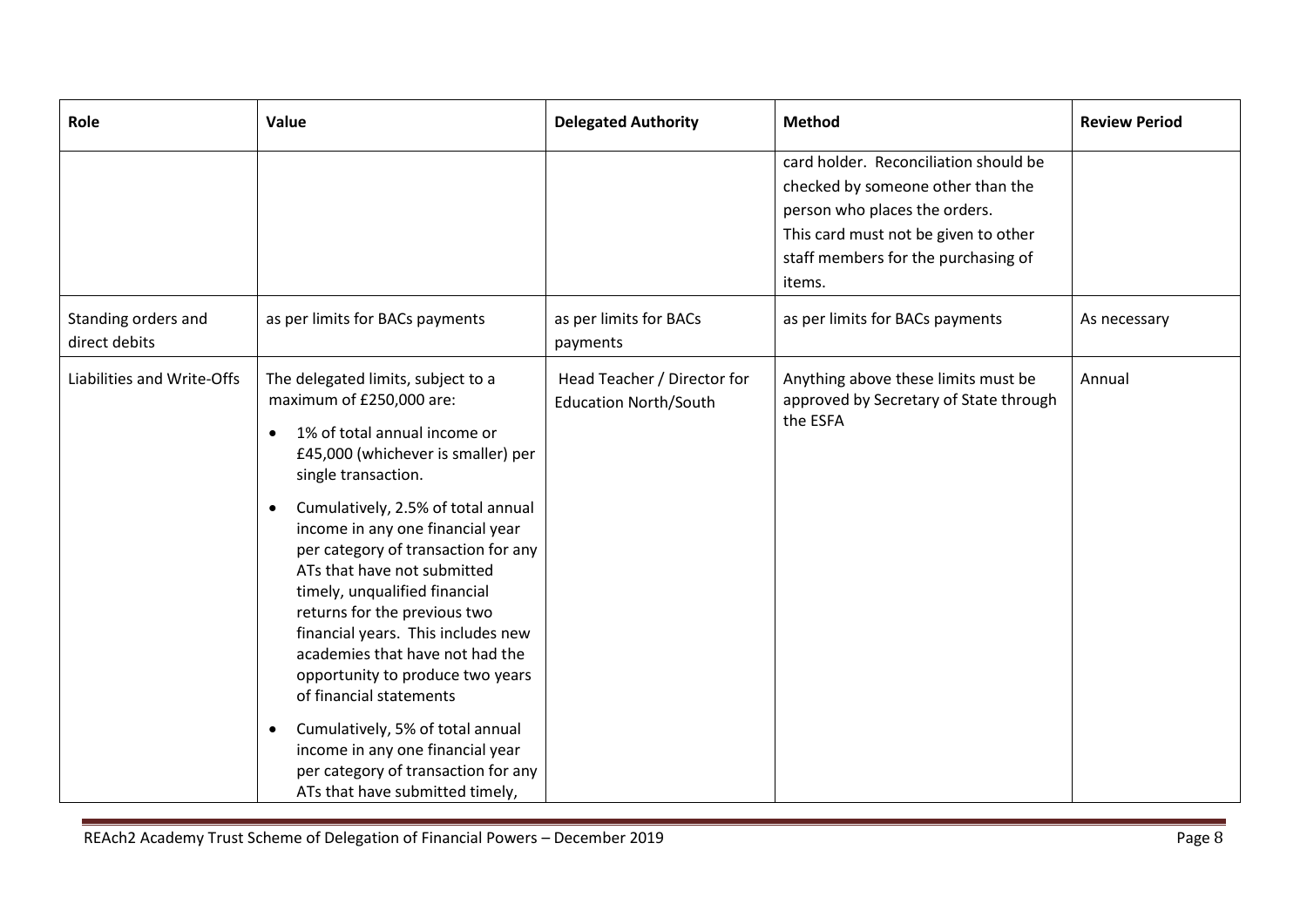| Role                                 | Value                                                                                                                                                                                                                                                                                                                                                                                                                                                                                                                                                                                                                                                                                                         | <b>Delegated Authority</b>                                  | <b>Method</b>                                                                                                                                                                                        | <b>Review Period</b> |
|--------------------------------------|---------------------------------------------------------------------------------------------------------------------------------------------------------------------------------------------------------------------------------------------------------------------------------------------------------------------------------------------------------------------------------------------------------------------------------------------------------------------------------------------------------------------------------------------------------------------------------------------------------------------------------------------------------------------------------------------------------------|-------------------------------------------------------------|------------------------------------------------------------------------------------------------------------------------------------------------------------------------------------------------------|----------------------|
|                                      |                                                                                                                                                                                                                                                                                                                                                                                                                                                                                                                                                                                                                                                                                                               |                                                             | card holder. Reconciliation should be<br>checked by someone other than the<br>person who places the orders.<br>This card must not be given to other<br>staff members for the purchasing of<br>items. |                      |
| Standing orders and<br>direct debits | as per limits for BACs payments                                                                                                                                                                                                                                                                                                                                                                                                                                                                                                                                                                                                                                                                               | as per limits for BACs<br>payments                          | as per limits for BACs payments                                                                                                                                                                      | As necessary         |
| Liabilities and Write-Offs           | The delegated limits, subject to a<br>maximum of £250,000 are:<br>1% of total annual income or<br>$\bullet$<br>£45,000 (whichever is smaller) per<br>single transaction.<br>Cumulatively, 2.5% of total annual<br>$\bullet$<br>income in any one financial year<br>per category of transaction for any<br>ATs that have not submitted<br>timely, unqualified financial<br>returns for the previous two<br>financial years. This includes new<br>academies that have not had the<br>opportunity to produce two years<br>of financial statements<br>Cumulatively, 5% of total annual<br>$\bullet$<br>income in any one financial year<br>per category of transaction for any<br>ATs that have submitted timely, | Head Teacher / Director for<br><b>Education North/South</b> | Anything above these limits must be<br>approved by Secretary of State through<br>the ESFA                                                                                                            | Annual               |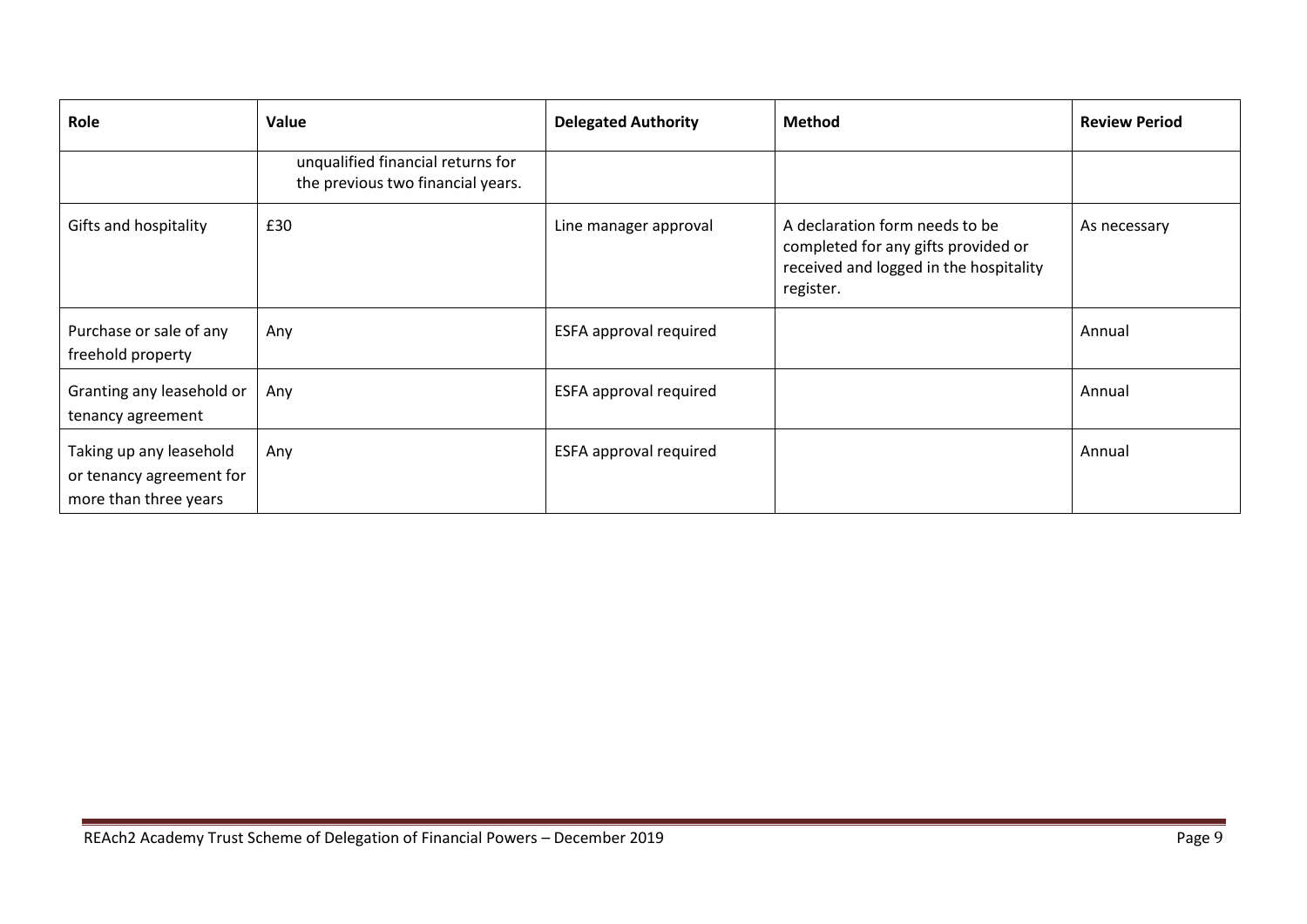| Role                                                                         | Value                                                                  | <b>Delegated Authority</b>    | <b>Method</b>                                                                                                                | <b>Review Period</b> |
|------------------------------------------------------------------------------|------------------------------------------------------------------------|-------------------------------|------------------------------------------------------------------------------------------------------------------------------|----------------------|
|                                                                              | unqualified financial returns for<br>the previous two financial years. |                               |                                                                                                                              |                      |
| Gifts and hospitality                                                        | £30                                                                    | Line manager approval         | A declaration form needs to be<br>completed for any gifts provided or<br>received and logged in the hospitality<br>register. | As necessary         |
| Purchase or sale of any<br>freehold property                                 | Any                                                                    | ESFA approval required        |                                                                                                                              | Annual               |
| Granting any leasehold or<br>tenancy agreement                               | Any                                                                    | <b>ESFA approval required</b> |                                                                                                                              | Annual               |
| Taking up any leasehold<br>or tenancy agreement for<br>more than three years | Any                                                                    | ESFA approval required        |                                                                                                                              | Annual               |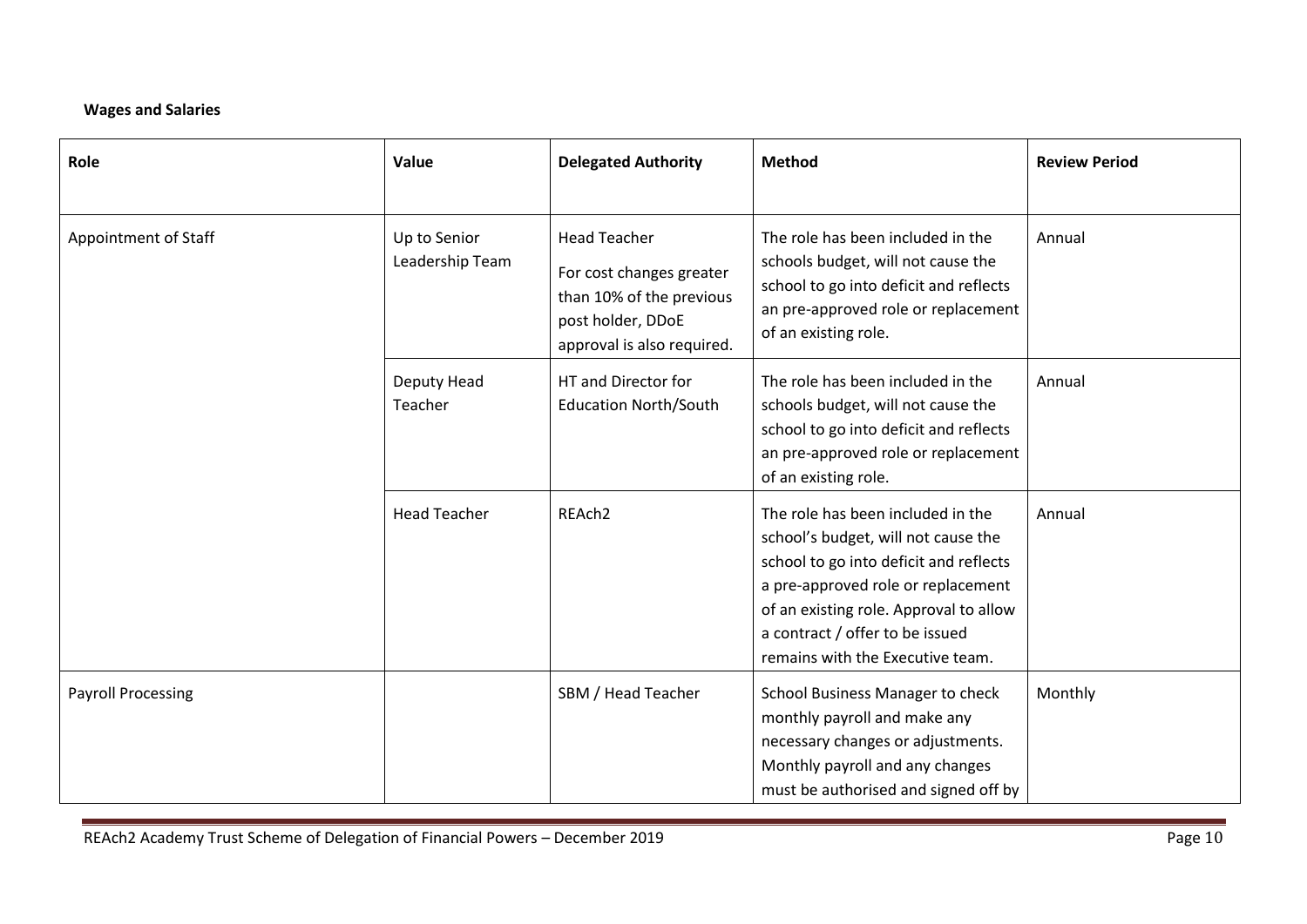### **Wages and Salaries**

| Role                      | Value                           | <b>Delegated Authority</b>                                                                                                     | <b>Method</b>                                                                                                                                                                                                                                                             | <b>Review Period</b> |
|---------------------------|---------------------------------|--------------------------------------------------------------------------------------------------------------------------------|---------------------------------------------------------------------------------------------------------------------------------------------------------------------------------------------------------------------------------------------------------------------------|----------------------|
| Appointment of Staff      | Up to Senior<br>Leadership Team | <b>Head Teacher</b><br>For cost changes greater<br>than 10% of the previous<br>post holder, DDoE<br>approval is also required. | The role has been included in the<br>schools budget, will not cause the<br>school to go into deficit and reflects<br>an pre-approved role or replacement<br>of an existing role.                                                                                          | Annual               |
|                           | Deputy Head<br>Teacher          | HT and Director for<br><b>Education North/South</b>                                                                            | The role has been included in the<br>schools budget, will not cause the<br>school to go into deficit and reflects<br>an pre-approved role or replacement<br>of an existing role.                                                                                          | Annual               |
|                           | <b>Head Teacher</b>             | REAch2                                                                                                                         | The role has been included in the<br>school's budget, will not cause the<br>school to go into deficit and reflects<br>a pre-approved role or replacement<br>of an existing role. Approval to allow<br>a contract / offer to be issued<br>remains with the Executive team. | Annual               |
| <b>Payroll Processing</b> |                                 | SBM / Head Teacher                                                                                                             | School Business Manager to check<br>monthly payroll and make any<br>necessary changes or adjustments.<br>Monthly payroll and any changes<br>must be authorised and signed off by                                                                                          | Monthly              |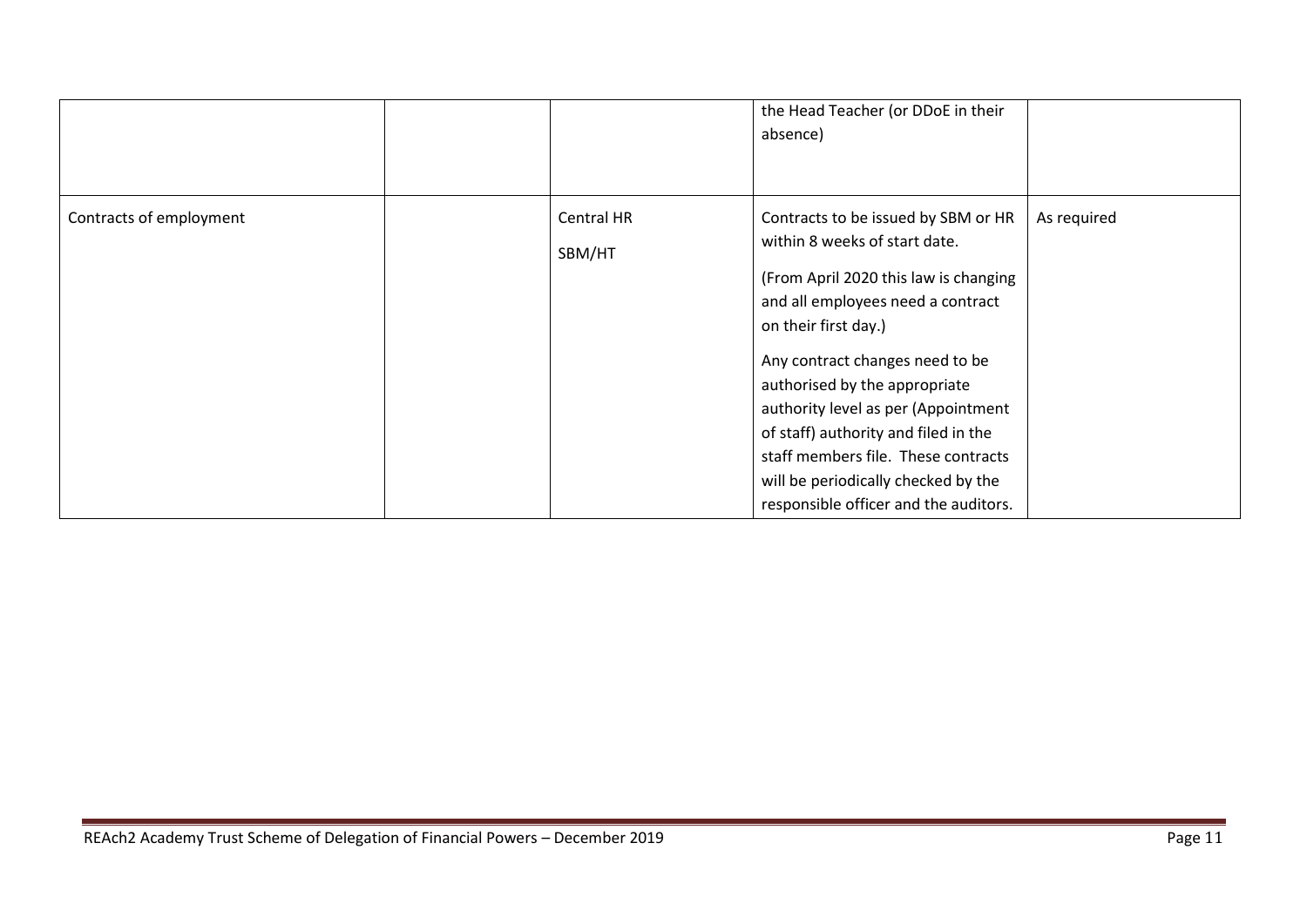|                         |                      | the Head Teacher (or DDoE in their<br>absence)                                                                                                                                                                                                                                                                                                                                                                                                       |             |
|-------------------------|----------------------|------------------------------------------------------------------------------------------------------------------------------------------------------------------------------------------------------------------------------------------------------------------------------------------------------------------------------------------------------------------------------------------------------------------------------------------------------|-------------|
| Contracts of employment | Central HR<br>SBM/HT | Contracts to be issued by SBM or HR<br>within 8 weeks of start date.<br>(From April 2020 this law is changing<br>and all employees need a contract<br>on their first day.)<br>Any contract changes need to be<br>authorised by the appropriate<br>authority level as per (Appointment<br>of staff) authority and filed in the<br>staff members file. These contracts<br>will be periodically checked by the<br>responsible officer and the auditors. | As required |